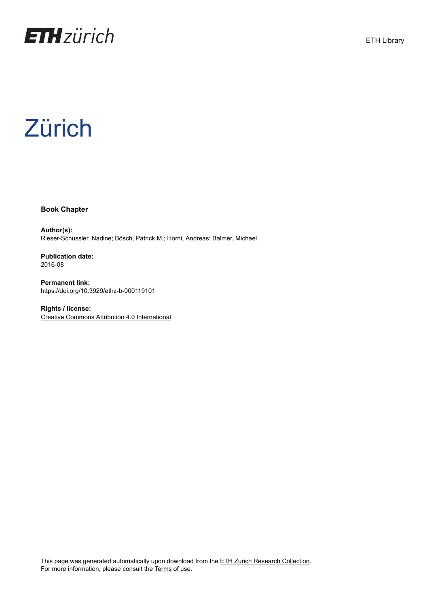

# **Zürich**

**Book Chapter**

**Author(s):** Rieser-Schüssler, Nadine; Bösch, Patrick M.; Horni, Andreas; Balmer, Michael

**Publication date:** 2016-08

**Permanent link:** <https://doi.org/10.3929/ethz-b-000119101>

**Rights / license:** [Creative Commons Attribution 4.0 International](http://creativecommons.org/licenses/by/4.0/)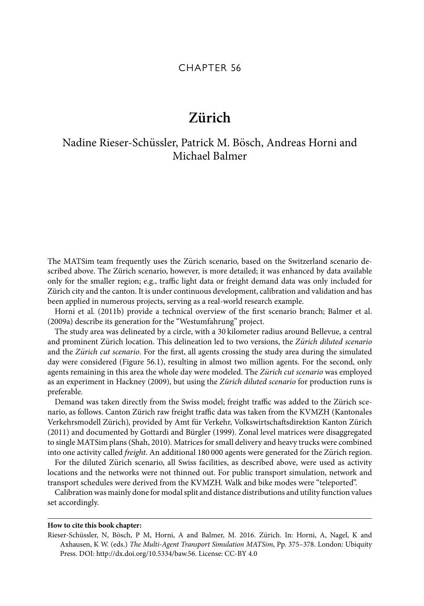### CHAPTER 56

## $Z$ **iirich**

## Nadine Rieser-Schüssler, Patrick M. Bösch, Andreas Horni and Michael Balmer

The MATSim team frequently uses the Zürich scenario, based on the Switzerland scenario described above. The Zürich scenario, however, is more detailed; it was enhanced by data available only for the smaller region; e.g., traffic light data or freight demand data was only included for Zürich city and the canton. It is under continuous development, calibration and validation and has been applied in numerous projects, serving as a real-world research example.

Horni et al. (2011b) provide a technical overview of the first scenario branch; Balmer et al. (2009a) describe its generation for the "Westumfahrung" project.

The study area was delineated by a circle, with a 30 kilometer radius around Bellevue, a central and prominent Zürich location. This delineation led to two versions, the Zürich diluted scenario and the Zürich cut scenario. For the first, all agents crossing the study area during the simulated day were considered (Figure 56.1), resulting in almost two million agents. For the second, only agents remaining in this area the whole day were modeled. The Zürich cut scenario was employed as an experiment in Hackney (2009), but using the Zürich diluted scenario for production runs is preferable.

Demand was taken directly from the Swiss model; freight traffic was added to the Zürich scenario, as follows. Canton Zürich raw freight traffic data was taken from the KVMZH (Kantonales Verkehrsmodell Zürich), provided by Amt für Verkehr, Volkswirtschaftsdirektion Kanton Zürich (2011) and documented by Gottardi and Bürgler (1999). Zonal level matrices were disaggregated to single MATSim plans (Shah, 2010). Matrices for small delivery and heavy trucks were combined into one activity called freight. An additional 180 000 agents were generated for the Zürich region.

For the diluted Zürich scenario, all Swiss facilities, as described above, were used as activity locations and the networks were not thinned out. For public transport simulation, network and transport schedules were derived from the KVMZH. Walk and bike modes were "teleported".

Calibration was mainly done for modal split and distance distributions and utility function values set accordingly.

#### **How to cite this book chapter:**

Rieser-Schüssler, N, Bösch, P M, Horni, A and Balmer, M. 2016. Zürich. In: Horni, A, Nagel, K and Axhausen, K W. (eds.) The Multi-Agent Transport Simulation MATSim, Pp. 375–378. London: Ubiquity Press. DOI: http://dx.doi.org/10.5334/baw.56. License: CC-BY 4.0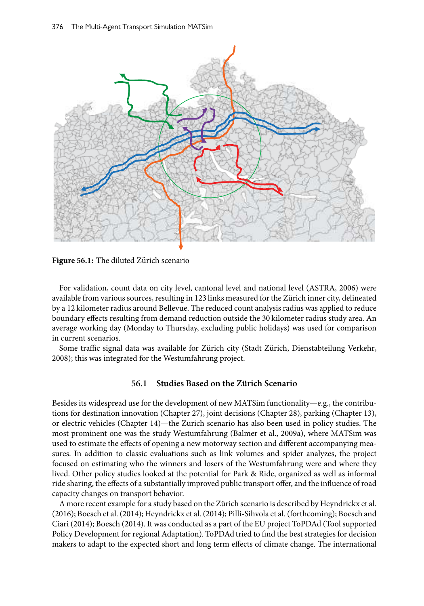

**Figure 56.1:** The diluted Zürich scenario

For validation, count data on city level, cantonal level and national level (ASTRA, 2006) were available from various sources, resulting in 123 links measured for the Zürich inner city, delineated by a 12 kilometer radius around Bellevue. The reduced count analysis radius was applied to reduce boundary effects resulting from demand reduction outside the 30 kilometer radius study area. An average working day (Monday to Thursday, excluding public holidays) was used for comparison in current scenarios.

Some traffic signal data was available for Zürich city (Stadt Zürich, Dienstabteilung Verkehr, 2008); this was integrated for the Westumfahrung project.

#### **56.1** Studies Based on the Zürich Scenario

Besides its widespread use for the development of new MATSim functionality—e.g., the contributions for destination innovation (Chapter 27), joint decisions (Chapter 28), parking (Chapter 13), or electric vehicles (Chapter 14)—the Zurich scenario has also been used in policy studies. The most prominent one was the study Westumfahrung (Balmer et al., 2009a), where MATSim was used to estimate the effects of opening a new motorway section and different accompanying measures. In addition to classic evaluations such as link volumes and spider analyzes, the project focused on estimating who the winners and losers of the Westumfahrung were and where they lived. Other policy studies looked at the potential for Park & Ride, organized as well as informal ride sharing, the effects of a substantially improved public transport offer, and the influence of road capacity changes on transport behavior.

A more recent example for a study based on the Zürich scenario is described by Heyndrickx et al. (2016); Boesch et al. (2014); Heyndrickx et al. (2014); Pilli-Sihvola et al. (forthcoming); Boesch and Ciari (2014); Boesch (2014). It was conducted as a part of the EU project ToPDAd (Tool supported Policy Development for regional Adaptation). ToPDAd tried to find the best strategies for decision makers to adapt to the expected short and long term effects of climate change. The international